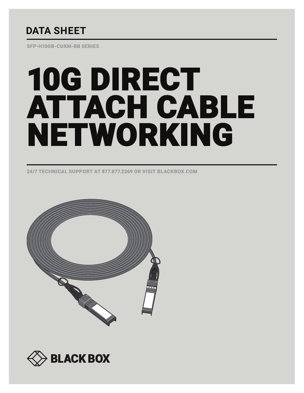# **DATA SHEET**

SFP-H10GB-CUXM-BB SERIES

# 10G DIRECT ATTACH CABLE NETWORKING

24/7 TECHNICAL SUPPORT AT 877.877.2269 OR VISIT BLACKBOX.COM



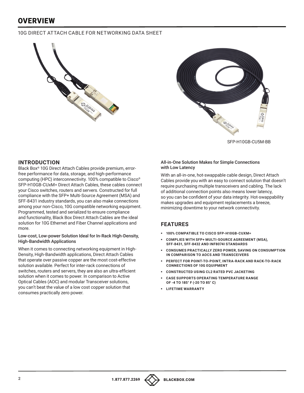# **OVERVIEW**

# 10G DIRECT ATTACH CABLE FOR NETWORKING DATA SHEET





SFP-H10GB-CU5M-BB

### **INTRODUCTION**

Black Box® 10G Direct Attach Cables provide premium, errorfree performance for data, storage, and high-performance computing (HPC) interconnectivity. 100% compatible to Cisco® SFP-H10GB-CUxM= Direct Attach Cables, these cables connect your Cisco switches, routers and servers. Constructed for full compliance with the SFP+ Multi-Source Agreement (MSA) and SFF-8431 industry standards, you can also make connections among your non-Cisco, 10G compatible networking equipment. Programmed, tested and serialized to ensure compliance and functionality, Black Box Direct Attach Cables are the ideal solution for 10G Ethernet and Fiber Channel applications and more.

#### Low-cost, Low-power Solution Ideal for In-Rack High-Density, High-Bandwidth Applications

When it comes to connecting networking equipment in High-Density, High-Bandwidth applications, Direct Attach Cables that operate over passive copper are the most cost-effective solution available. Perfect for inter-rack connections of switches, routers and servers, they are also an ultra-efficient solution when it comes to power. In comparison to Active Optical Cables (AOC) and modular Transceiver solutions, you can't beat the value of a low cost copper solution that consumes practically zero power.

#### All-in-One Solution Makes for Simple Connections with Low Latency

With an all-in-one, hot-swappable cable design, Direct Attach Cables provide you with an easy to connect solution that doesn't require purchasing multiple transceivers and cabling. The lack of additional connection points also means lower latency, so you can be confident of your data integrity. Hot-swappability makes upgrades and equipment replacements a breeze, minimizing downtime to your network connectivity.

# **FEATURES**

- § **100% COMPATIBLE TO CISCO SFP-H10GB-CUXM=**
- § **COMPLIES WITH SFP+ MULTI-SOURCE AGREEMENT (MSA), SFF-8431, SFF-8432 AND INF8074I STANDARDS**
- § **CONSUMES PRACTICALLY ZERO POWER, SAVING ON CONSUMPTION IN COMPARISON TO AOCS AND TRANSCEIVERS**
- § **PERFECT FOR POINT-TO-POINT, INTRA-RACK AND RACK-TO-RACK CONNECTIONS OF 10G EQUIPMENT**
- § **CONSTRUCTED USING CL2 RATED PVC JACKETING**
- § **CASE SUPPORTS OPERATING TEMPERATURE RANGE OF -4 TO 185° F (-20 TO 85° C)**
- § **LIFETIME WARRANTY**

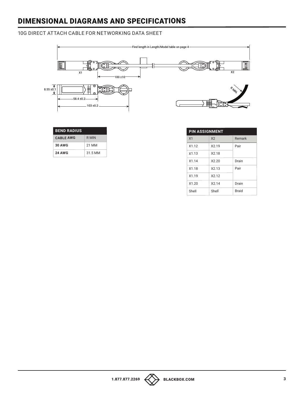# DIMENSIONAL DIAGRAMS AND SPECIFICATIONS

# 10G DIRECT ATTACH CABLE FOR NETWORKING DATA SHEET



| <b>BEND RADIUS</b> |         |
|--------------------|---------|
| <b>CABLE AWG</b>   | R MIN   |
| <b>30 AWG</b>      | 21 MM   |
| <b>24 AWG</b>      | 31.5 MM |

| <b>PIN ASSIGNMENT</b> |                |        |  |
|-----------------------|----------------|--------|--|
| X <sub>1</sub>        | X <sub>2</sub> | Remark |  |
| X1.12                 | X2.19          | Pair   |  |
| X1.13                 | X2.18          |        |  |
| X1.14                 | X220           | Drain  |  |
| X1.18                 | X2.13          | Pair   |  |
| X1.19                 | X2.12          |        |  |
| X1.20                 | X2 14          | Drain  |  |
| Shell                 | Shell          | Braid  |  |